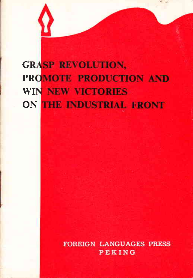# **GRASP REVOLUTION.** PROMOTE PRODUCTION AND **WIN NEW VICTORIES** ON THE INDUSTRIAL FRONT

**FOREIGN LANGUAGES PRESS** PEKING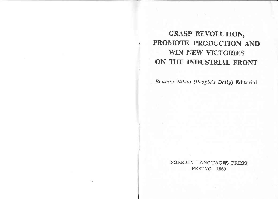GRASP REVOLUTION, PROMOTE PRODUCTION AND **WIN NEW VICTORIES** ON THE INDUSTRIAL FRONT

Renmin Ribao (People's Daily) Editorial

FOREIGN LANGUAGES PRESS PEKING 1969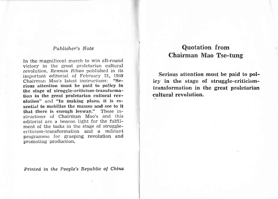#### Publisher's Note

In the magnificent march to win all-round victory in the great proletarian cultural revolution, Renmin Ribao published in its important editorial of February 21, 1969 Chairman Mao's latest instructions: "Serious attention must be paid to policy in the stage of struggle-criticism-transformation in the great proletarian cultural revolution" and "In making plans, it is essential to mobilize the masses and see to it that there is enough leeway." These instructions of Chairman Mao's and this editorial are a beacon light for the fulfilment of the tasks in the stage of strugglecriticism-transformation and a militant programme for grasping revolution and promoting production.

Printed in the People's Republic of China

### Quotation from Chairman Mao Tse-tung

Serious attention must be paid to policy in the stage of struggle-criticismtransformation in the great proletarian cultural revolution.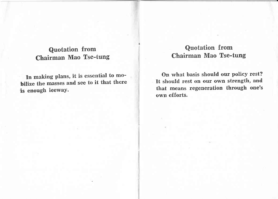### Quotation from Chairman Mao Tse-tung

In making plans, it is essential to mobilize the masses and see to it that there is enough leeway.

# Quotation from Chairman Mao Tse-tung

On what basis should our policy rest? It should rest on our own strength, and that means regeneration through one's own efforts.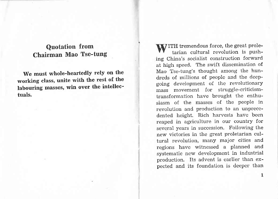# Quotation from Chairman Mao Tse-tung

We must whole-heartedly rely on the working class, unite with the rest of the labouring masses, win over the intellectuals.

ITH tremendous force, the great proletarian cultural revolution is pushing China's socialist construction forward at high speed. The swift dissemination of Mao Tse-tung's thought among the hundreds of millions of people and the deepgoing development of the revolutionary mass movement for struggle-criticismtransformation have brought the enthusiasm of the masses of the people in revolution and production to an unprecedented height. Rich harvests have been reaped in agriculture in our country for several years in succession. Following the new victories in the great proletarian cultural revolution, many major cities and regions have witnessed a planned and systematic new development in industrial production. Its advent is earlier than expected and its foundation is deeper than

 $\mathbf{1}$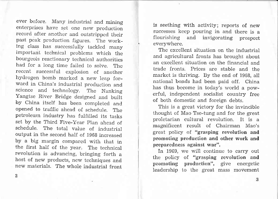ever before. Many industrial and mining enterprises have set one new production reeord after another and outstripped their past peak production figures. The working class has successfully tackled many important technical problems which the bourgeois reactionary technical authorities had for a long time failed to solve. The recent successful explosion of another hydrogen bomb marked a new leap forward in China's industrial production and science and technology. The Nanking Yangtse River Bridge designed and built by China itself has been completed and opened to traffic ahead of schedule. The petroleum industry has fulfiiled its tasks set by the Third Five-Year plan ahead of schedule. The total value of industrial output in the second half of 1968 increased by a big margin compared with that in the first half of the year. The technical revolution is advancing, bringing forth <sup>a</sup> host of new products, new techniques and new materials. The whole industrial front

is seething with activity; reports of new successes keep pouring in and there is <sup>a</sup> flourishing and invigorating prospect everywhere.

The excellent situation on the industrial and agricultural fronts has brought about an excellent situation on the financial and trade fronts. Prices are stable and the market is thriving. By the end of 1968, all national bonds had been paid off. China has thus become in today's world a powerful, independent socialist country free of both domestic and foreign debts.

This is a great victory for the invincible thought of Mao Tse-tung and for the great proletarian cultural revolution. It is <sup>a</sup> maghificent result of Chairman Mao's great policy of "grasping tevolution and promoting production and other work and preparedness against war".

In 1969, we will continue to carry out the policy of "grasping revolution and promoting production", give energetic leadership to the great mass movement

2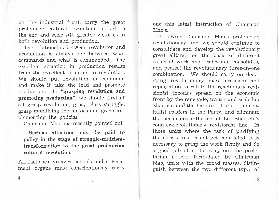on the industrial front, carry the great proletarian cultural revolution through to the end and seize still greater victories in both revolution and production.

The relationship between revolution and production is always one between what commands and what is commanded. The excellent situation in production results from the excellent situation in revolution. We should put revolution in command and make it take the lead and promote production. In "grasping revolution and promoting production", we should first of aII grasp revolution, grasp class struggle, grasp mobilizing the masses and grasp implernenting the policies.

Chairman Mao has recently pointed out:

Serious attention must be paid to policy in the stage of struggle-criticismtransforrnation in the great proletarian cultural revolution.

AiI factories, vilIages, schools and government organs must conscientiously carry out this latest instruction of Chairman Mao's.

Fo1lowing Chairman Mao's proletarian revolutionary line, we should continue to consolidate and develop the revolutionary great alliance on the basis of different fields of work and trades and consolidate and perfect the revolutionary three-in-one combination. We should carry on deepgoing revolutionary mass criticism and repudiation to refute the reactionary revisionist theories spread on the economic front by the renegade, traitor and scab Liu Shao-chi and the handful of other top capitalist roaders in the Party, and eliminate the pernicious influence of Liu Shao-chi's counter-revolutionary revisionist line. In those units where the task of purifying the class ranks is not yet completed, it is necessary to grasp the work firmly and do a good job of it, to carry out the proletarian policies formulated by Chairman Mao, unite with the broad masses, distinguish between the two different types of

4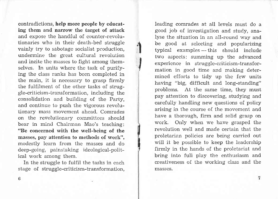contradictions, help more people by educating them and narrow the target of attack and expose the handful of counter-revolutionaries who in their death-bed struggle vainly try to sabotage socialist production, underrnine the great cultural revolution and incite the masses to fight among thernselves. In units where the task of purifying the class ranks has been completed in the main, it is necessary to grasp firmly the fulfilment of the other tasks of struggle-criticism-transformation, including the consolidation and building of the Party, and continue to push the vigorous revolutionary mass movement ahead. Comrades on the revolutionary committees should bear in mind Chairman Mao's teaching: "Be concetrned with the well-being of the masses, pay attention to methods of work". modestly learn from the masses and do deep-going, painstaking ideological-political work among them.

I

:il

In the struggle to fulfil the tasks in each stage of struggle-criticism-transformation,

leading comrades at all levels must do <sup>a</sup> good job of investigation and study, ana-Iyse the situation in an all-round way and be good at selecting and popularizing typical examples — this should include typicar examples — this should include<br>two aspects: summing up the advanced experience in struggle-criticism-transformation in good time and making determined efforts to tidy up the few units having "big, difficult and long-standing" problems. At the same time, they must pay attention to discovering, studying and carefully handling new questions of policy arising in the course of the movement and have a thorough, firm and solid grasp on work. Only when we have grasped the revolution well and made certain that the proletarian policies are being carried out will it be possible to keep the leadership firmly in the hands of the proletariat and bring into full play the enthusiasm and creativeness of the working class and the rnasses,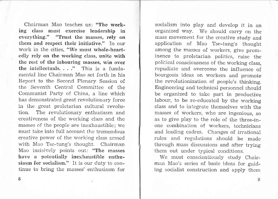Chairman Mao teaches us: "The working class rnust exercise leadership in everything." "Trust the masses, rely on them and respect their initiative." In our work in the cities, "We must whole-heartedly rely on the working class, unite with the rest of the labouring masses, win over the intellectuals.  $\therefore$  "This is a fundamental line Chairman Mao set forth in his Report to the Second Plenary Session of the Seventh Central Committee of the Communist Party of China, a line which has demonstrated great revolutionary force in the great proletarian cultural revolution. The revolutionary enthusiasm and creativeness of the working class and the masses of the people are inexhaustible; we must take into full account the tremendous creative power of the working class armed with Mao Tse-tung's thought. Chairman Mao incisively points out: "The masses have a potentially inexhaustible enthusiasm for socialism." It is our duty to continue to bring the masses' enthusiasm for

socialisrn into play and develop it in an organized way. We should carry on the mass movement for the creative study and application of Mao Tse-tung's thought among the masses of workers, give prominence to proletarian politics, raise the political consciousness of the working class, repudiate and overcome the influence of bourgeois ideas on workers and promote the revolutionization of people's thinking. Engineering and technical personnel should be organized to take part in productive labour, to be re-educated by the working class and to integrate themselves with the rnasses of workers, who are ingenious, so as to give play to the role of the three-inone combination of workers, technicians and leading cadres. Changes of irrational rules and regulations should be made through mass discussions and after trying them out under typical conditions.

We must conscientiously study Chairman Mao's series of basic ideas for guiding socialist construction and apply them

8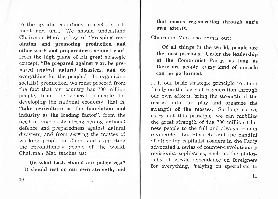to the specific conditions in each department and unit. We should understand Chairman Mao's policy of "grasping revolution and promoting production and other work and preparedness against war" from the high plane of his great strategic concept, "Be prepared against war, be prepared against natural disasters, and do everything for the people." In organizing socialist production, we must proceed from the fact that our country has 700 million people, from the general principle for developing the national economy, that is, "take agriculture as the foundation and industry as the leading factor", from the need of vigorously strengthening national defence and preparedness against natural disasters, and from serving the masses of working people in China and supporting the revolutionary people of the world. Chairrnan Mao teaches us:

On what hasis should our poliey rest? It should rest on our own strength, and that means regeneration through one's own efforts.

Chairman Mao also points out:

Ot all things in the world, people are the most precious. Under the leadership of the Communist Party, as long as there are people, every kind of miracle can be perforrned.

It is our basic strategic principle to stand firmly on the basis of regeneration through our own efforts, bring the strength of the masses into full play and organize the strength of the masses. So long as we carry out this principle, we can mobilize the great strength of the 700 million Chinese people to the full and always remain invincible. Liu Shao-chi and the handful of other top capitalist roaders in the Party advocated a series of counter-revolutionary revisionist sophistries, such as the philosophy of servile dependence on foreigners for everything, "relying on specialists to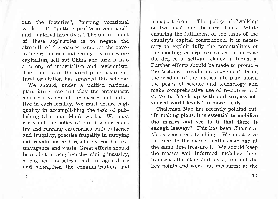run the factories", "putting vocational work first", "putting profits in command" and "material incentives". The central point of these sophistries is to negate the strength of the masses, suppress the revolutionary masses and vainly try to restore capitalism, sell out China and turn it into a colony of imperialism and revisionism. The iron fist of the great proletarian cultural revolution has smashed this scheme.

We should, under a unified national plan, bring into full play the enthusiasm and creativeness of the masses and initiative in each locality. We must ensure high quality in accomplishing the task of publishing Chairman Mao's works. We must carry out the policy of building our country and running enterprises with diligence and frugality, practise frugality in carrying out revolution and resolutely combat extravagance and waste. Great efforts should be made to strengthen the mining industry, strengthen industry's aid to agriculture and strengthen the communications and

transport front. The policy of "walking on two legs" must be carried out. While ensuring the fulfilment of the tasks of the country's capital construction, it is necessary to exploit fully the potentialities of the existing enterprises so as to increase the degree of self-sufficiency in industry. Further efforts should be made to promote the technical revolution movement, bring the wisdom of the masses into play, storm the peaks of science and technology and make comprehensive use of resources and strive to "catch up with and surpass advanced world levels" in more fields.

Chairrnan Mao has recently pointed out, "In making plans, it is essential to mobilize the nnasses and see to it that there is enough leeway." This has been Chairman Mao's consistent teaching. We must give fuII play to the masses' enthusiasm and at the same time treasure it. We should keep the masses weII informed, mobilize thern to discuss the plans and tasks, find out the key points and work out measures; at the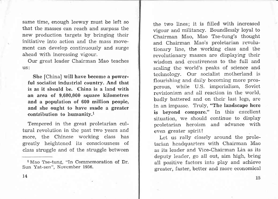same time, enough leeway must be left so that the masses can reach and surpass the new production targets by bringing their initiative into action and the mass movement can develop continuously and surge ahead with increasing vigour.

Our great leader Chairman Mao teaches US:

She [China] will have become a powerful socialist industrial country. And that is as it should be. China is a land with an area of 9,600,000 square kilometres and a population of 600 million people, and she ought to have made a greater contribution to humanity.<sup>1</sup>

Tempered in the great proletarian cultural revolution in the past two years and more, the Chinese working class has greatly heightened its consciousness of class struggle and of the struggle between

the two lines; it is filled with increased vigour and militancy. Boundlessly loyal to Chairman Mao, Mao Tse-tung's thought and Chairman Mao's proletarian revolutionary line, the working class and the revolutionary masses are displaying their wisdom and creativeness to the full and scaling the world's peaks of science and technology. Our socialist motherland is flourishing and daily becoming more prosperous, while U.S. imperialism, Soviet revisionism and all reaction in the world, badly battered and on their last legs, are in an impasse. Truly, "The landscape here is beyond connpare." In this' excellent situation, we should continue to display proletarian heroism and advance with even greater spirit!

Let us rally closely around the proletarian headquarters with Chairman Mao as its leader and Vice-Chairman Lin as its deputy leader, go all out, aim high, bring all positive factors into play and achieve greater, faster, better and more economical

l Mao Tse-tung, "In Commemoration of Dr. Sun Yat-sen", November 1956.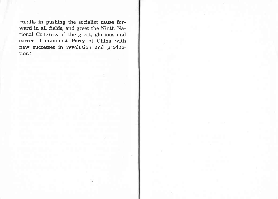results in pushing the socialist cause forward in all fields, and greet the Ninth National Congress of the great, glorious and correct Communist Party of China with new successes in revolution and production!